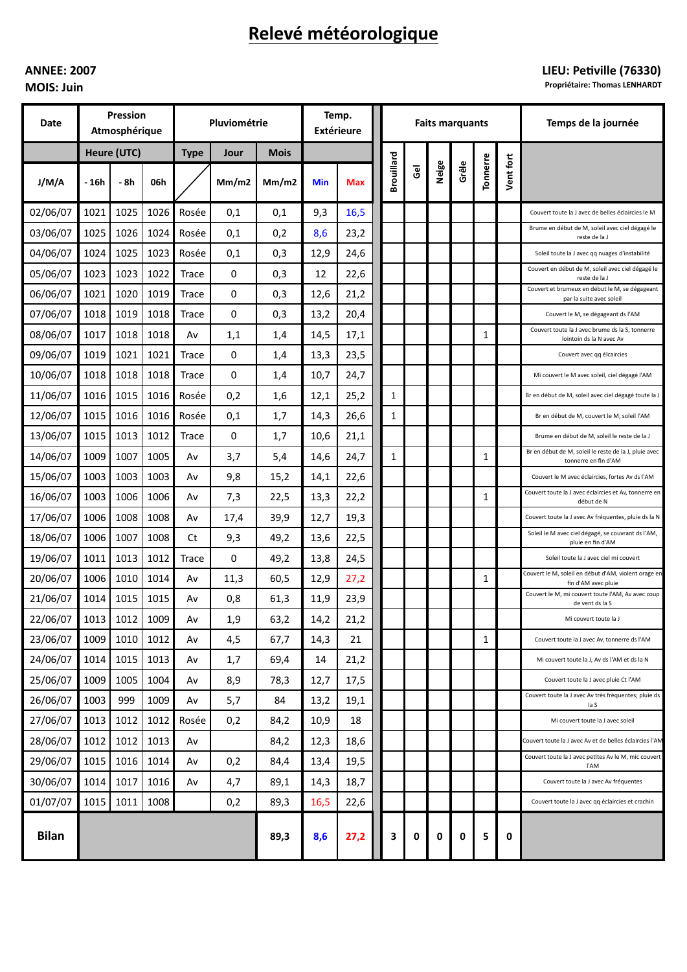# Relevé météorologique

# **ANNEE: 2007**

**MOIS: Juin** 

## LIEU: Petiville (76330)

Propriétaire: Thomas LENHARDT

| Date         | Pression<br>Atmosphérique |      |      | Pluviométrie |       |             | Temp.<br><b>Extérieure</b> |      | <b>Faits marquants</b> |   |       |       |              |           | Temps de la journée                                                           |
|--------------|---------------------------|------|------|--------------|-------|-------------|----------------------------|------|------------------------|---|-------|-------|--------------|-----------|-------------------------------------------------------------------------------|
|              | Heure (UTC)               |      |      | <b>Type</b>  | Jour  | <b>Mois</b> |                            |      |                        |   |       |       |              |           |                                                                               |
| J/M/A        | - 16h                     | - 8h | 06h  |              | Mm/m2 | Mm/m2       | Min                        | Max  | Brouillard             | ළ | Neige | Grêle | Tonnerre     | Vent fort |                                                                               |
| 02/06/07     | 1021                      | 1025 | 1026 | Rosée        | 0,1   | 0,1         | 9,3                        | 16,5 |                        |   |       |       |              |           | Couvert toute la J avec de belles éclaircies le M                             |
| 03/06/07     | 1025                      | 1026 | 1024 | Rosée        | 0,1   | 0,2         | 8,6                        | 23,2 |                        |   |       |       |              |           | Brume en début de M, soleil avec ciel dégagé le<br>reste de la J              |
| 04/06/07     | 1024                      | 1025 | 1023 | Rosée        | 0,1   | 0,3         | 12,9                       | 24,6 |                        |   |       |       |              |           | Soleil toute la J avec qq nuages d'instabilité                                |
| 05/06/07     | 1023                      | 1023 | 1022 | Trace        | 0     | 0,3         | 12                         | 22,6 |                        |   |       |       |              |           | Couvert en début de M, soleil avec ciel dégagé le<br>reste de la J            |
| 06/06/07     | 1021                      | 1020 | 1019 | <b>Trace</b> | 0     | 0,3         | 12,6                       | 21,2 |                        |   |       |       |              |           | Couvert et brumeux en début le M, se dégageant<br>par la suite avec soleil    |
| 07/06/07     | 1018                      | 1019 | 1018 | <b>Trace</b> | 0     | 0,3         | 13,2                       | 20,4 |                        |   |       |       |              |           | Couvert le M, se dégageant ds l'AM                                            |
| 08/06/07     | 1017                      | 1018 | 1018 | Av           | 1,1   | 1,4         | 14,5                       | 17,1 |                        |   |       |       | 1            |           | Couvert toute la J avec brume ds la S, tonnerre<br>lointoin ds la N avec Av   |
| 09/06/07     | 1019                      | 1021 | 1021 | Trace        | 0     | 1,4         | 13,3                       | 23,5 |                        |   |       |       |              |           | Couvert avec qq élcaircies                                                    |
| 10/06/07     | 1018                      | 1018 | 1018 | Trace        | 0     | 1,4         | 10,7                       | 24,7 |                        |   |       |       |              |           | Mi couvert le M avec soleil, ciel dégagé l'AM                                 |
| 11/06/07     | 1016                      | 1015 | 1016 | Rosée        | 0,2   | 1,6         | 12,1                       | 25,2 | $\mathbf{1}$           |   |       |       |              |           | Br en début de M, soleil avec ciel dégagé toute la J                          |
| 12/06/07     | 1015                      | 1016 | 1016 | Rosée        | 0,1   | 1,7         | 14,3                       | 26,6 | 1                      |   |       |       |              |           | Br en début de M, couvert le M, soleil l'AM                                   |
| 13/06/07     | 1015                      | 1013 | 1012 | Trace        | 0     | 1,7         | 10,6                       | 21,1 |                        |   |       |       |              |           | Brume en début de M, soleil le reste de la J                                  |
| 14/06/07     | 1009                      | 1007 | 1005 | Av           | 3,7   | 5,4         | 14,6                       | 24,7 | 1                      |   |       |       | 1            |           | Br en début de M, soleil le reste de la J, pluie avec<br>tonnerre en fin d'AM |
| 15/06/07     | 1003                      | 1003 | 1003 | Av           | 9,8   | 15,2        | 14,1                       | 22,6 |                        |   |       |       |              |           | Couvert le M avec éclaircies, fortes Av ds l'AM                               |
| 16/06/07     | 1003                      | 1006 | 1006 | A٧           | 7,3   | 22,5        | 13,3                       | 22,2 |                        |   |       |       | 1            |           | Couvert toute la J avec éclaircies et Av, tonnerre en<br>début de N           |
| 17/06/07     | 1006                      | 1008 | 1008 | A٧           | 17,4  | 39,9        | 12,7                       | 19,3 |                        |   |       |       |              |           | Couvert toute la J avec Av fréquentes, pluie ds la N                          |
| 18/06/07     | 1006                      | 1007 | 1008 | Ct           | 9,3   | 49,2        | 13,6                       | 22,5 |                        |   |       |       |              |           | Soleil le M avec ciel dégagé, se couvrant ds l'AM,<br>pluie en fin d'AM       |
| 19/06/07     | 1011                      | 1013 | 1012 | Trace        | 0     | 49,2        | 13,8                       | 24,5 |                        |   |       |       |              |           | Soleil toute la J avec ciel mi couvert                                        |
| 20/06/07     | 1006                      | 1010 | 1014 | A٧           | 11,3  | 60,5        | 12,9                       | 27,2 |                        |   |       |       | 1            |           | Couvert le M, soleil en début d'AM, violent orage en<br>fin d'AM avec pluie   |
| 21/06/07     | 1014                      | 1015 | 1015 | Av           | 0,8   | 61,3        | 11,9                       | 23,9 |                        |   |       |       |              |           | Couvert le M, mi couvert toute l'AM, Av avec coup<br>de vent ds la S          |
| 22/06/07     | 1013                      | 1012 | 1009 | Av           | 1,9   | 63,2        | 14,2                       | 21,2 |                        |   |       |       |              |           | Mi couvert toute la J                                                         |
| 23/06/07     | 1009                      | 1010 | 1012 | Av           | 4,5   | 67,7        | 14,3                       | 21   |                        |   |       |       | $\mathbf{1}$ |           | Couvert toute la J avec Av, tonnerre ds l'AM                                  |
| 24/06/07     | 1014                      | 1015 | 1013 | Av           | 1,7   | 69,4        | 14                         | 21,2 |                        |   |       |       |              |           | Mi couvert toute la J, Av ds l'AM et ds la N                                  |
| 25/06/07     | 1009                      | 1005 | 1004 | Av           | 8,9   | 78,3        | 12,7                       | 17,5 |                        |   |       |       |              |           | Couvert toute la J avec pluie Ct l'AM                                         |
| 26/06/07     | 1003                      | 999  | 1009 | Av           | 5,7   | 84          | 13,2                       | 19,1 |                        |   |       |       |              |           | Couvert toute la J avec Av très fréquentes; pluie ds<br>la S                  |
| 27/06/07     | 1013                      | 1012 | 1012 | Rosée        | 0,2   | 84,2        | 10,9                       | 18   |                        |   |       |       |              |           | Mi couvert toute la J avec soleil                                             |
| 28/06/07     | 1012                      | 1012 | 1013 | Av           |       | 84,2        | 12,3                       | 18,6 |                        |   |       |       |              |           | Couvert toute la J avec Av et de belles éclaircies l'AM                       |
| 29/06/07     | 1015                      | 1016 | 1014 | Av           | 0,2   | 84,4        | 13,4                       | 19,5 |                        |   |       |       |              |           | Couvert toute la J avec petites Av le M, mic couvert<br>l'AM                  |
| 30/06/07     | 1014                      | 1017 | 1016 | Av           | 4,7   | 89,1        | 14,3                       | 18,7 |                        |   |       |       |              |           | Couvert toute la J avec Av fréquentes                                         |
| 01/07/07     | 1015                      | 1011 | 1008 |              | 0,2   | 89,3        | 16,5                       | 22,6 |                        |   |       |       |              |           | Couvert toute la J avec qq éclaircies et crachin                              |
| <b>Bilan</b> |                           |      |      |              |       | 89,3        | 8,6                        | 27,2 | 3                      | 0 | 0     | 0     | 5            | 0         |                                                                               |